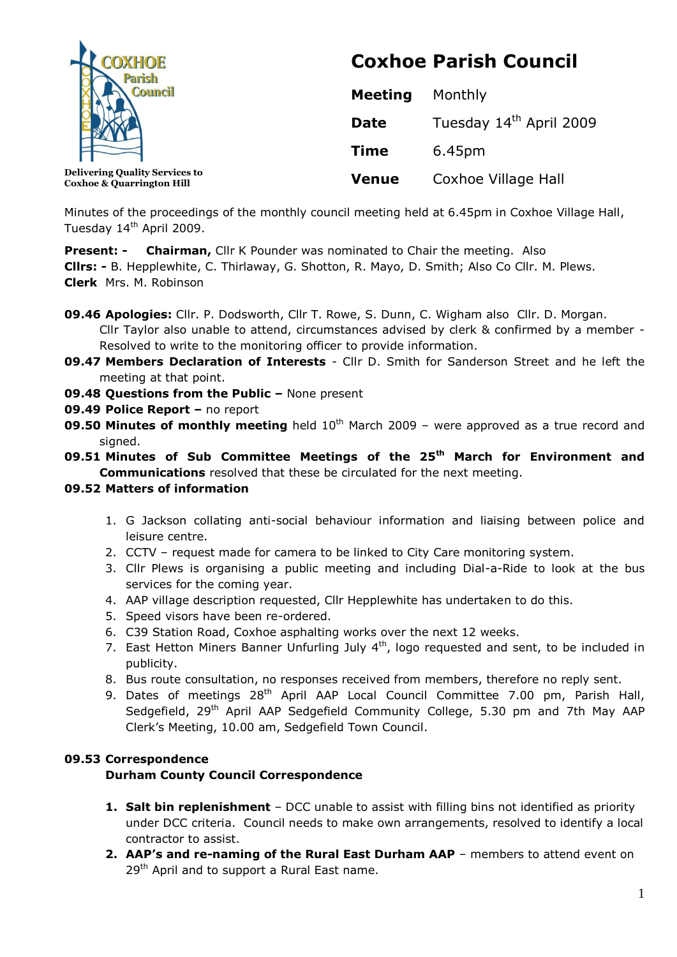

**Coxhoe & Quarrington Hill**

# **Coxhoe Parish Council**

| <b>Meeting</b> | Monthly                             |
|----------------|-------------------------------------|
| Date           | Tuesday 14 <sup>th</sup> April 2009 |
| <b>Time</b>    | 6.45pm                              |
| <b>Venue</b>   | Coxhoe Village Hall                 |

Minutes of the proceedings of the monthly council meeting held at 6.45pm in Coxhoe Village Hall, Tuesday 14<sup>th</sup> April 2009.

**Present: - Chairman, Cllr K Pounder was nominated to Chair the meeting. Also** 

**Cllrs: -** B. Hepplewhite, C. Thirlaway, G. Shotton, R. Mayo, D. Smith; Also Co Cllr. M. Plews. **Clerk** Mrs. M. Robinson

- **09.46 Apologies:** Cllr. P. Dodsworth, Cllr T. Rowe, S. Dunn, C. Wigham also Cllr. D. Morgan. Cllr Taylor also unable to attend, circumstances advised by clerk & confirmed by a member - Resolved to write to the monitoring officer to provide information.
- **09.47 Members Declaration of Interests** Cllr D. Smith for Sanderson Street and he left the meeting at that point.
- **09.48 Questions from the Public –** None present
- **09.49 Police Report –** no report
- **09.50 Minutes of monthly meeting** held 10<sup>th</sup> March 2009 were approved as a true record and signed.
- **09.51 Minutes of Sub Committee Meetings of the 25th March for Environment and Communications** resolved that these be circulated for the next meeting.

# **09.52 Matters of information**

- 1. G Jackson collating anti-social behaviour information and liaising between police and leisure centre.
- 2. CCTV request made for camera to be linked to City Care monitoring system.
- 3. Cllr Plews is organising a public meeting and including Dial-a-Ride to look at the bus services for the coming year.
- 4. AAP village description requested, Cllr Hepplewhite has undertaken to do this.
- 5. Speed visors have been re-ordered.
- 6. C39 Station Road, Coxhoe asphalting works over the next 12 weeks.
- 7. East Hetton Miners Banner Unfurling July  $4<sup>th</sup>$ , logo requested and sent, to be included in publicity.
- 8. Bus route consultation, no responses received from members, therefore no reply sent.
- 9. Dates of meetings  $28<sup>th</sup>$  April AAP Local Council Committee 7.00 pm, Parish Hall, Sedgefield, 29<sup>th</sup> April AAP Sedgefield Community College, 5.30 pm and 7th May AAP Clerk's Meeting, 10.00 am, Sedgefield Town Council.

# **09.53 Correspondence**

# **Durham County Council Correspondence**

- **1. Salt bin replenishment** DCC unable to assist with filling bins not identified as priority under DCC criteria. Council needs to make own arrangements, resolved to identify a local contractor to assist.
- **2. AAP's and re-naming of the Rural East Durham AAP** members to attend event on 29<sup>th</sup> April and to support a Rural East name.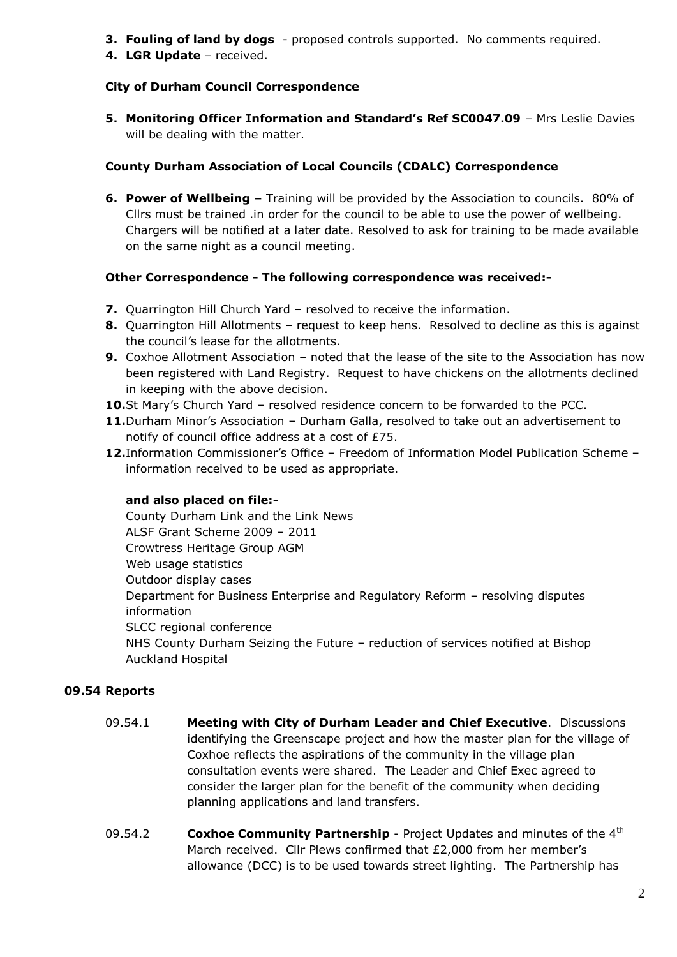- **3. Fouling of land by dogs**  proposed controls supported. No comments required.
- **4. LGR Update**  received.

## **City of Durham Council Correspondence**

**5. Monitoring Officer Information and Standard's Ref SC0047.09** – Mrs Leslie Davies will be dealing with the matter.

## **County Durham Association of Local Councils (CDALC) Correspondence**

**6. Power of Wellbeing –** Training will be provided by the Association to councils. 80% of Cllrs must be trained .in order for the council to be able to use the power of wellbeing. Chargers will be notified at a later date. Resolved to ask for training to be made available on the same night as a council meeting.

## **Other Correspondence - The following correspondence was received:-**

- **7.** Quarrington Hill Church Yard resolved to receive the information.
- **8.** Quarrington Hill Allotments request to keep hens. Resolved to decline as this is against the council's lease for the allotments.
- **9.** Coxhoe Allotment Association noted that the lease of the site to the Association has now been registered with Land Registry. Request to have chickens on the allotments declined in keeping with the above decision.
- **10.**St Mary's Church Yard resolved residence concern to be forwarded to the PCC.
- **11.**Durham Minor's Association Durham Galla, resolved to take out an advertisement to notify of council office address at a cost of £75.
- **12.**Information Commissioner's Office Freedom of Information Model Publication Scheme information received to be used as appropriate.

#### **and also placed on file:-**

County Durham Link and the Link News ALSF Grant Scheme 2009 – 2011 Crowtress Heritage Group AGM Web usage statistics Outdoor display cases Department for Business Enterprise and Regulatory Reform – resolving disputes information SLCC regional conference NHS County Durham Seizing the Future – reduction of services notified at Bishop Auckland Hospital

# **09.54 Reports**

- 09.54.1 **Meeting with City of Durham Leader and Chief Executive**. Discussions identifying the Greenscape project and how the master plan for the village of Coxhoe reflects the aspirations of the community in the village plan consultation events were shared. The Leader and Chief Exec agreed to consider the larger plan for the benefit of the community when deciding planning applications and land transfers.
- 09.54.2 **Coxhoe Community Partnership** Project Updates and minutes of the 4<sup>th</sup> March received. Cllr Plews confirmed that £2,000 from her member's allowance (DCC) is to be used towards street lighting. The Partnership has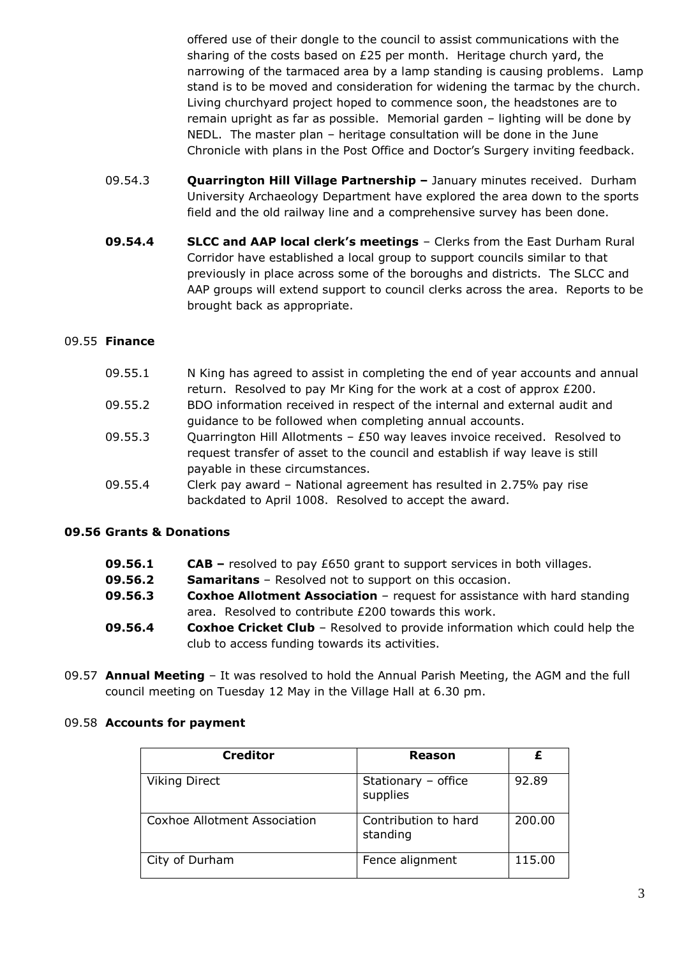offered use of their dongle to the council to assist communications with the sharing of the costs based on £25 per month. Heritage church yard, the narrowing of the tarmaced area by a lamp standing is causing problems. Lamp stand is to be moved and consideration for widening the tarmac by the church. Living churchyard project hoped to commence soon, the headstones are to remain upright as far as possible. Memorial garden – lighting will be done by NEDL. The master plan – heritage consultation will be done in the June Chronicle with plans in the Post Office and Doctor's Surgery inviting feedback.

- 09.54.3 **Quarrington Hill Village Partnership –** January minutes received. Durham University Archaeology Department have explored the area down to the sports field and the old railway line and a comprehensive survey has been done.
- **09.54.4 SLCC and AAP local clerk's meetings** Clerks from the East Durham Rural Corridor have established a local group to support councils similar to that previously in place across some of the boroughs and districts. The SLCC and AAP groups will extend support to council clerks across the area. Reports to be brought back as appropriate.

# 09.55 **Finance**

| 09.55.1 | N King has agreed to assist in completing the end of year accounts and annual |
|---------|-------------------------------------------------------------------------------|
|         | return. Resolved to pay Mr King for the work at a cost of approx £200.        |
| 09.55.2 | BDO information received in respect of the internal and external audit and    |
|         | quidance to be followed when completing annual accounts.                      |
| 09.55.3 | Quarrington Hill Allotments $-$ £50 way leaves invoice received. Resolved to  |
|         | request transfer of asset to the council and establish if way leave is still  |
|         | payable in these circumstances.                                               |
| 09.55.4 | Clerk pay award - National agreement has resulted in 2.75% pay rise           |
|         | backdated to April 1008. Resolved to accept the award.                        |

#### **09.56 Grants & Donations**

- **09.56.2 Samaritans**  Resolved not to support on this occasion.
- **09.56.3 Coxhoe Allotment Association**  request for assistance with hard standing area. Resolved to contribute £200 towards this work.
- **09.56.4 Coxhoe Cricket Club** Resolved to provide information which could help the club to access funding towards its activities.
- 09.57 **Annual Meeting** It was resolved to hold the Annual Parish Meeting, the AGM and the full council meeting on Tuesday 12 May in the Village Hall at 6.30 pm.

| <b>Creditor</b>              | Reason                           |        |
|------------------------------|----------------------------------|--------|
| <b>Viking Direct</b>         | Stationary - office<br>supplies  | 92.89  |
| Coxhoe Allotment Association | Contribution to hard<br>standing | 200.00 |
| City of Durham               | Fence alignment                  | 115.00 |

#### 09.58 **Accounts for payment**